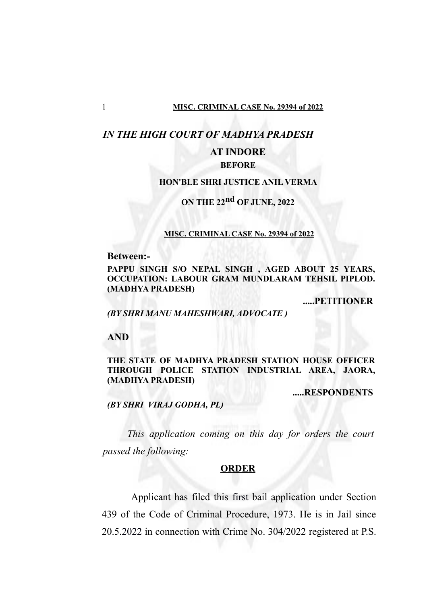## *IN THE HIGH COURT OF MADHYA PRADESH*

## **AT INDORE**

## **BEFORE**

## **HON'BLE SHRI JUSTICE ANIL VERMA**

# **ON THE 22nd OF JUNE, 2022**

#### **MISC. CRIMINAL CASE No. 29394 of 2022**

**Between:-**

**PAPPU SINGH S/O NEPAL SINGH , AGED ABOUT 25 YEARS, OCCUPATION: LABOUR GRAM MUNDLARAM TEHSIL PIPLOD. (MADHYA PRADESH)**

**.....PETITIONER**

## *(BY SHRI MANU MAHESHWARI, ADVOCATE )*

**AND**

## **THE STATE OF MADHYA PRADESH STATION HOUSE OFFICER THROUGH POLICE STATION INDUSTRIAL AREA, JAORA, (MADHYA PRADESH)**

**.....RESPONDENTS**

*(BY SHRI VIRAJ GODHA, PL)*

*This application coming on this day for orders the court passed the following:*

## **ORDER**

Applicant has filed this first bail application under Section 439 of the Code of Criminal Procedure, 1973. He is in Jail since 20.5.2022 in connection with Crime No. 304/2022 registered at P.S.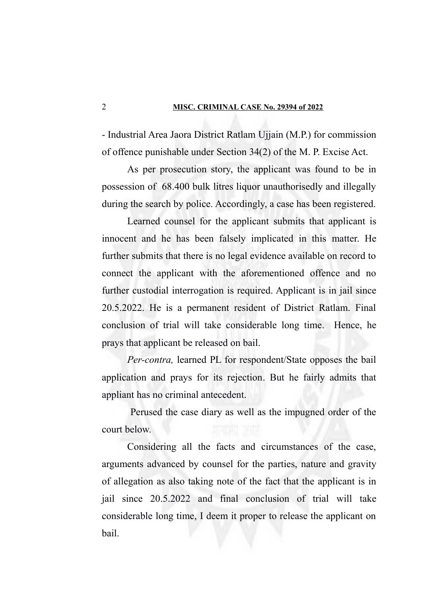- Industrial Area Jaora District Ratlam Ujjain (M.P.) for commission of offence punishable under Section 34(2) of the M. P. Excise Act.

As per prosecution story, the applicant was found to be in possession of 68.400 bulk litres liquor unauthorisedly and illegally during the search by police. Accordingly, a case has been registered.

Learned counsel for the applicant submits that applicant is innocent and he has been falsely implicated in this matter. He further submits that there is no legal evidence available on record to connect the applicant with the aforementioned offence and no further custodial interrogation is required. Applicant is in jail since 20.5.2022. He is a permanent resident of District Ratlam. Final conclusion of trial will take considerable long time. Hence, he prays that applicant be released on bail.

*Per-contra,* learned PL for respondent/State opposes the bail application and prays for its rejection. But he fairly admits that appliant has no criminal antecedent.

 Perused the case diary as well as the impugned order of the court below.

Considering all the facts and circumstances of the case, arguments advanced by counsel for the parties, nature and gravity of allegation as also taking note of the fact that the applicant is in jail since 20.5.2022 and final conclusion of trial will take considerable long time, I deem it proper to release the applicant on bail.